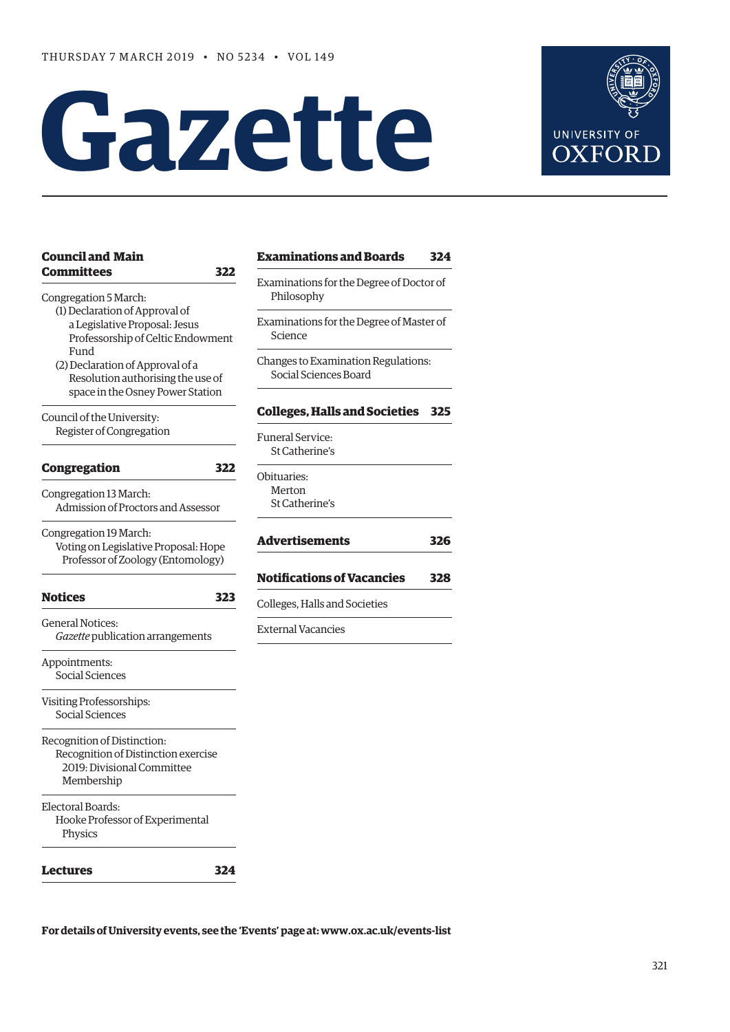# **Gazette**



| <b>Council and Main</b>                                                                                        | <b>Examinations and Boards</b>                                | 324 |
|----------------------------------------------------------------------------------------------------------------|---------------------------------------------------------------|-----|
| <b>Committees</b><br>Congregation 5 March:                                                                     | 322<br>Examinations for the Degree of Doctor of<br>Philosophy |     |
| (1) Declaration of Approval of<br>a Legislative Proposal: Jesus<br>Professorship of Celtic Endowment<br>Fund   | Examinations for the Degree of Master of<br>Science           |     |
| (2) Declaration of Approval of a<br>Resolution authorising the use of<br>space in the Osney Power Station      | Changes to Examination Regulations:<br>Social Sciences Board  |     |
| Council of the University:                                                                                     | <b>Colleges, Halls and Societies</b>                          | 325 |
| Register of Congregation                                                                                       | <b>Funeral Service:</b><br>St Catherine's                     |     |
| <b>Congregation</b>                                                                                            | 322<br>Obituaries:                                            |     |
| Congregation 13 March:<br>Admission of Proctors and Assessor                                                   | Merton<br>St Catherine's                                      |     |
| Congregation 19 March:<br>Voting on Legislative Proposal: Hope<br>Professor of Zoology (Entomology)            | <b>Advertisements</b>                                         | 326 |
|                                                                                                                | <b>Notifications of Vacancies</b>                             | 328 |
| <b>Notices</b>                                                                                                 | 323<br>Colleges, Halls and Societies                          |     |
| <b>General Notices:</b><br>Gazette publication arrangements                                                    | <b>External Vacancies</b>                                     |     |
| Appointments:<br>Social Sciences                                                                               |                                                               |     |
| Visiting Professorships:<br>Social Sciences                                                                    |                                                               |     |
| Recognition of Distinction:<br>Recognition of Distinction exercise<br>2019: Divisional Committee<br>Membership |                                                               |     |
| Electoral Boards:<br>Hooke Professor of Experimental<br>Physics                                                |                                                               |     |
| Lectures                                                                                                       | 324                                                           |     |

**For details of University events, see the 'Events' page at: [www.ox.ac.uk/events-list](http://www.ox.ac.uk/events-list)**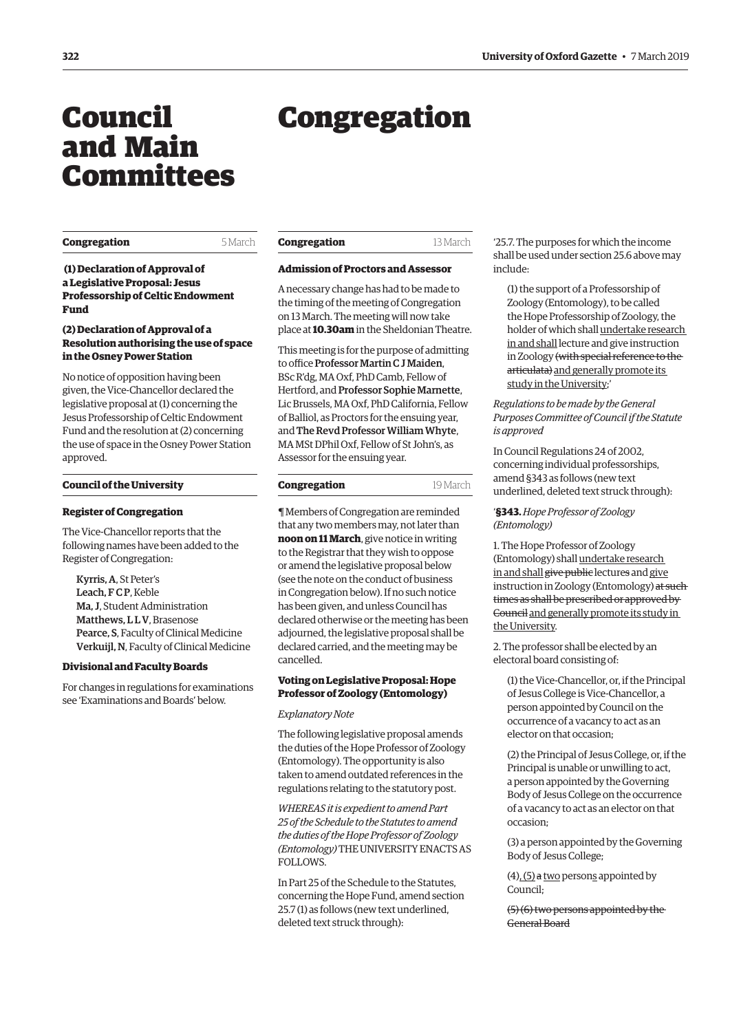# <span id="page-1-0"></span>Council and Main Committees

# Congregation

#### **Congregation** 5 March

**Congregation** 13 March

# **Admission of Proctors and Assessor**

A necessary change has had to be made to the timing of the meeting of Congregation on 13 March. The meeting will now take place at **10.30am** in the Sheldonian Theatre.

This meeting is for the purpose of admitting to office Professor Martin C J Maiden, BSc R'dg, MA Oxf, PhD Camb, Fellow of Hertford, and Professor Sophie Marnette, Lic Brussels, MA Oxf, PhD California, Fellow of Balliol, as Proctors for the ensuing year, and The Revd Professor William Whyte, MA MSt DPhil Oxf, Fellow of St John's, as Assessor for the ensuing year.

#### **Congregation** 19 March

¶ Members of Congregation are reminded that any two members may, not later than **noon on 11 March**, give notice in writing to the Registrar that they wish to oppose or amend the legislative proposal below (see the note on the conduct of business in Congregation below). If no such notice has been given, and unless Council has declared otherwise or the meeting has been adjourned, the legislative proposal shall be declared carried, and the meeting may be cancelled.

## **Voting on Legislative Proposal: Hope Professor of Zoology (Entomology)**

#### *Explanatory Note*

The following legislative proposal amends the duties of the Hope Professor of Zoology (Entomology). The opportunity is also taken to amend outdated references in the regulations relating to the statutory post.

*WHEREAS it is expedient to amend Part 25 of the Schedule to the Statutes to amend the duties of the Hope Professor of Zoology (Entomology)* THE UNIVERSITY ENACTS AS FOLLOWS.

In Part 25 of the Schedule to the Statutes, concerning the Hope Fund, amend section 25.7 (1) as follows (new text underlined, deleted text struck through):

'25.7. The purposes for which the income shall be used under section 25.6 above may include:

(1) the support of a Professorship of Zoology (Entomology), to be called the Hope Professorship of Zoology, the holder of which shall undertake research in and shall lecture and give instruction in Zoology (with special reference to the articulata) and generally promote its study in the University;'

*Regulations to be made by the General Purposes Committee of Council if the Statute is approved*

In Council Regulations 24 of 2002, concerning individual professorships, amend §343 as follows (new text underlined, deleted text struck through):

'**§343.** *Hope Professor of Zoology (Entomology)*

1. The Hope Professor of Zoology (Entomology) shall undertake research in and shall give public lectures and give instruction in Zoology (Entomology) at such times as shall be prescribed or approved by Council and generally promote its study in the University.

2. The professor shall be elected by an electoral board consisting of:

(1) the Vice-Chancellor, or, if the Principal of Jesus College is Vice-Chancellor, a person appointed by Council on the occurrence of a vacancy to act as an elector on that occasion;

(2) the Principal of Jesus College, or, if the Principal is unable or unwilling to act, a person appointed by the Governing Body of Jesus College on the occurrence of a vacancy to act as an elector on that occasion;

(3) a person appointed by the Governing Body of Jesus College;

 $(4)$ ,  $(5)$  a two persons appointed by Council;

(5) (6) two persons appointed by the General Board

 **(1) Declaration of Approval of a Legislative Proposal: Jesus Professorship of Celtic Endowment Fund**

# **(2) Declaration of Approval of a Resolution authorising the use of space in the Osney Power Station**

No notice of opposition having been given, the Vice-Chancellor declared the legislative proposal at (1) concerning the Jesus Professorship of Celtic Endowment Fund and the resolution at (2) concerning the use of space in the Osney Power Station approved.

#### **Council of the University**

## **Register of Congregation**

The Vice-Chancellor reports that the following names have been added to the Register of Congregation:

Kyrris, A, St Peter's Leach, FCP, Keble Ma, J, Student Administration Matthews, LLV, Brasenose Pearce, S, Faculty of Clinical Medicine Verkuijl, N, Faculty of Clinical Medicine

## **Divisional and Faculty Boards**

For changes in regulations for examinations see 'Examinations and Boards' below.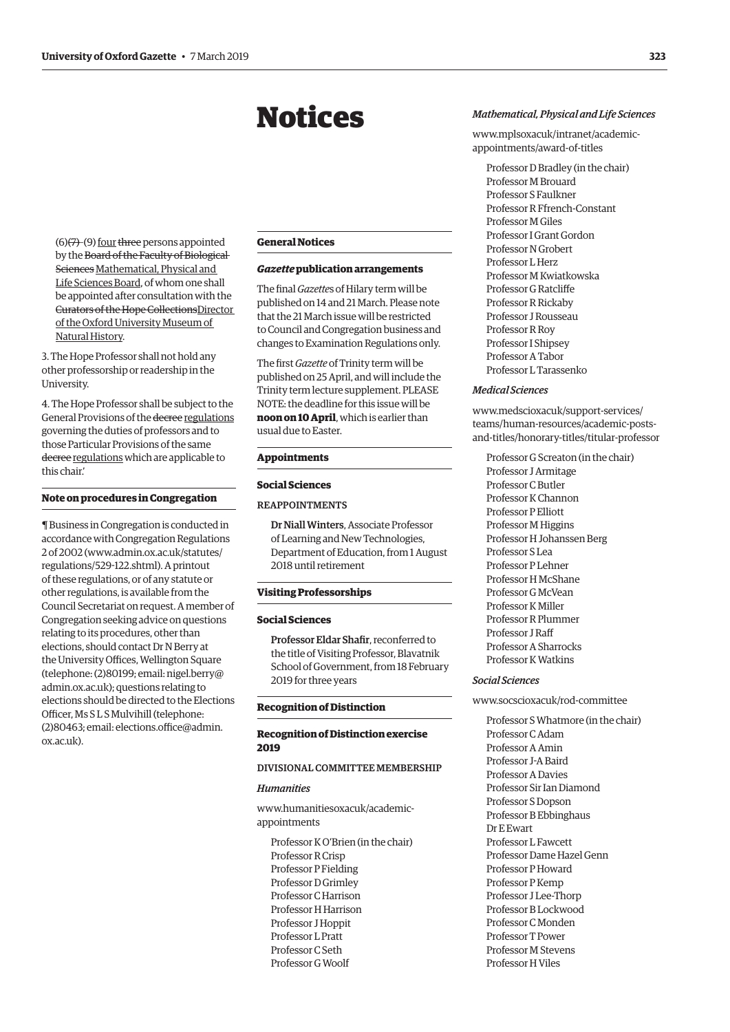# Notices

<span id="page-2-0"></span>(6)(7)-(9) four three persons appointed by the Board of the Faculty of Biological Sciences Mathematical, Physical and Life Sciences Board, of whom one shall be appointed after consultation with the Curators of the Hope CollectionsDirector of the Oxford University Museum of Natural History.

3. The Hope Professor shall not hold any other professorship or readership in the University.

4. The Hope Professor shall be subject to the General Provisions of the decree regulations governing the duties of professors and to those Particular Provisions of the same decree regulations which are applicable to this chair.'

#### **Note on procedures in Congregation**

¶ Business in Congregation is conducted in accordance with Congregation Regulations 2 of 2002 [\(www.admin.ox.ac.uk/statutes/](http://www.admin.ox.ac.uk/statutes/regulations/529-122.shtml).) [regulations/529-122.shtml\).](http://www.admin.ox.ac.uk/statutes/regulations/529-122.shtml).) A printout of these regulations, or of any statute or other regulations, is available from the Council Secretariat on request. A member of Congregation seeking advice on questions relating to its procedures, other than elections, should contact Dr N Berry at the University Offices, Wellington Square (telephone: (2)80199; email: [nigel.berry@](mailto:nigel.berry@admin.ox.ac.uk) [admin.ox.ac.uk\)](mailto:nigel.berry@admin.ox.ac.uk); questions relating to elections should be directed to the Elections Officer, Ms S L S Mulvihill (telephone: (2)80463; email: [elections.office@admin.](mailto:elections.office@admin.ox.ac.uk) [ox.ac.uk\)](mailto:elections.office@admin.ox.ac.uk).

#### **General Notices**

## *Gazette* **publication arrangements**

The final *Gazette*s of Hilary term will be published on 14 and 21 March. Please note that the 21 March issue will be restricted to Council and Congregation business and changes to Examination Regulations only.

The first *Gazette* of Trinity term will be published on 25 April, and will include the Trinity term lecture supplement. PLEASE NOTE: the deadline for this issue will be **noon on 10 April**, which is earlier than usual due to Easter.

#### **Appointments**

#### **Social Sciences**

# REAPPOINTMENTS

Dr Niall Winters, Associate Professor of Learning and New Technologies, Department of Education, from 1 August 2018 until retirement

#### **Visiting Professorships**

#### **Social Sciences**

Professor Eldar Shafir, reconferred to the title of Visiting Professor, Blavatnik School of Government, from 18 February 2019 for three years

#### **Recognition of Distinction**

#### **Recognition of Distinction exercise 2019**

# DIVISIONAL COMMITTEE MEMBERSHIP

## *Humanities*

[www.humanitiesoxacuk/academic](www.humanitiesoxacuk/academic-appointments)appointments

Professor K O'Brien (in the chair) Professor R Crisp Professor P Fielding Professor D Grimley Professor C Harrison Professor H Harrison Professor J Hoppit Professor L Pratt Professor C Seth Professor G Woolf

#### *Mathematical, Physical and Life Sciences*

[www.mplsoxacuk/intranet/academic](www.mplsoxacuk/intranet/academic-appointments/award-of-titles)appointments/award-of-titles

Professor D Bradley (in the chair) Professor M Brouard Professor S Faulkner Professor R Ffrench-Constant Professor M Giles Professor I Grant Gordon Professor N Grobert Professor L Herz Professor M Kwiatkowska Professor G Ratcliffe Professor R Rickaby Professor J Rousseau Professor R Roy Professor I Shipsey Professor A Tabor Professor L Tarassenko

#### *Medical Sciences*

www.medscioxacuk/support-services/ teams/human-resources/academic-posts[and-titles/honorary-titles/titular-professor](www.medscioxacuk/support-services/teams/human-resources/academic-posts-and-titles/honorary-titles/titular-professor)

Professor G Screaton (in the chair) Professor J Armitage Professor C Butler Professor K Channon Professor P Elliott Professor M Higgins Professor H Johanssen Berg Professor S Lea Professor P Lehner Professor H McShane Professor G McVean Professor K Miller Professor R Plummer Professor J Raff Professor A Sharrocks Professor K Watkins

#### *Social Sciences*

#### [www.socscioxacuk/rod-committee](http://www.socscioxacuk/rod-committee)

Professor S Whatmore (in the chair) Professor C Adam Professor A Amin Professor J-A Baird Professor A Davies Professor Sir Ian Diamond Professor S Dopson Professor B Ebbinghaus Dr E Ewart Professor L Fawcett Professor Dame Hazel Genn Professor P Howard Professor P Kemp Professor J Lee-Thorp Professor B Lockwood Professor C Monden Professor T Power Professor M Stevens Professor H Viles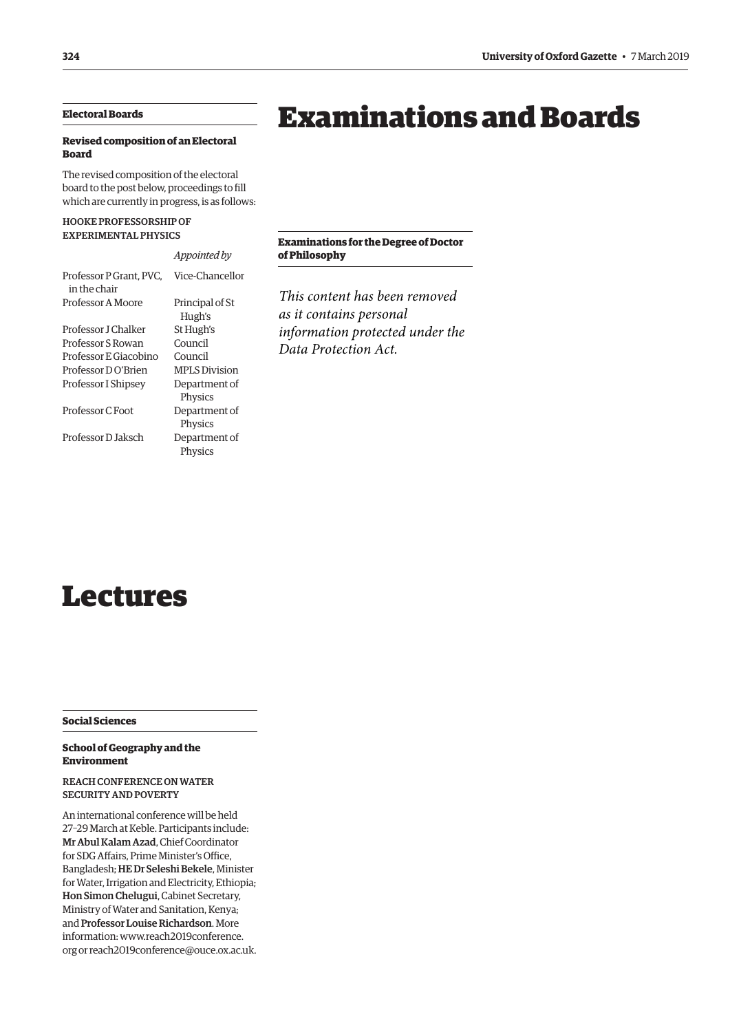# <span id="page-3-0"></span>**Electoral Boards**

# **Revised composition of an Electoral Board**

The revised composition of the electoral board to the post below, proceedings to fill which are currently in progress, is as follows:

# HOOKE PROFESSORSHIP OF EXPERIMENTAL PHYSICS

|                                         | Appointed by              |
|-----------------------------------------|---------------------------|
| Professor P Grant, PVC.<br>in the chair | Vice-Chancellor           |
| Professor A Moore                       | Principal of St<br>Hugh's |
| Professor LChalker                      | St Hugh's                 |
| Professor S Rowan                       | Council                   |
| Professor E Giacobino                   | Council                   |
| Professor DO'Brien                      | <b>MPLS</b> Division      |
| Professor I Shipsey                     | Department of<br>Physics  |
| Professor C Foot                        | Department of<br>Physics  |
| Professor D Jaksch                      | Department of<br>Physics  |
|                                         |                           |

# **Examinations for the Degree of Doctor of Philosophy**

Examinations and Boards

*This content has been removed as it contains personal information protected under the Data Protection Act.*

# Lectures

**Social Sciences**

# **School of Geography and the Environment**

# REACH CONFERENCE ON WATER SECURITY AND POVERTY

An international conference will be held 27–29 March at Keble. Participants include: Mr Abul Kalam Azad, Chief Coordinator for SDG Affairs, Prime Minister's Office, Bangladesh; HE Dr Seleshi Bekele, Minister for Water, Irrigation and Electricity, Ethiopia; Hon Simon Chelugui, Cabinet Secretary, Ministry of Water and Sanitation, Kenya; and Professor Louise Richardson. More information: [www.reach2019conference.](http://www.reach2019conference.org) [org](http://www.reach2019conference.org) or [reach2019conference@ouce.ox.ac.uk](mailto:reach2019conference@ouce.ox.ac.uk).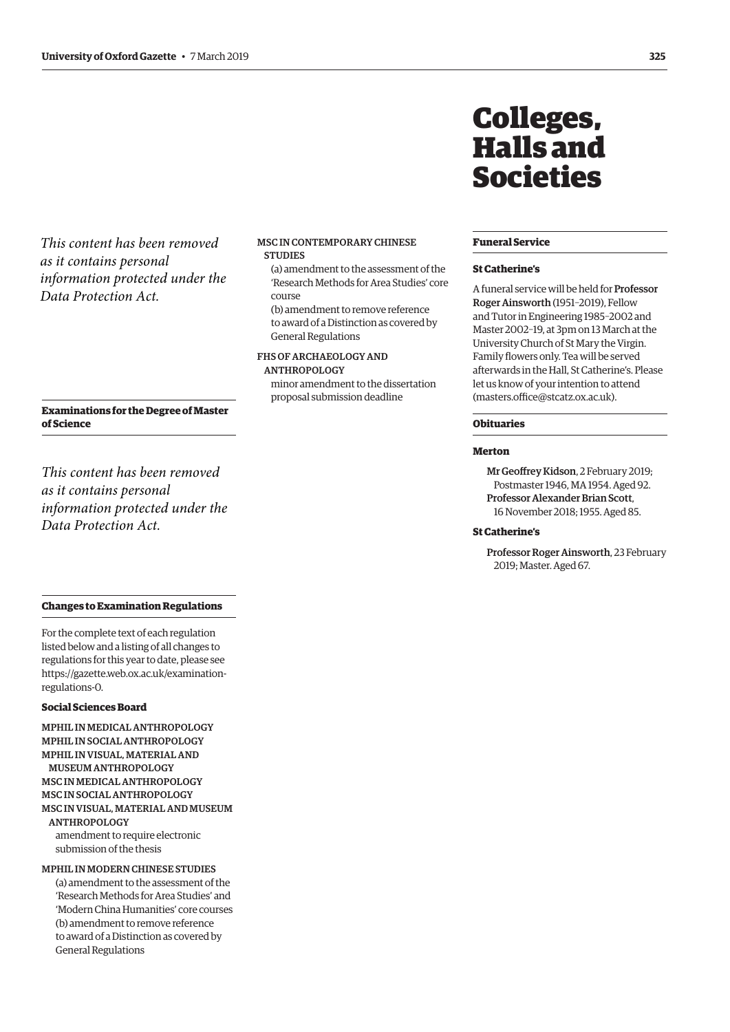<span id="page-4-0"></span>*This content has been removed as it contains personal information protected under the Data Protection Act.*

#### MSC IN CONTEMPORARY CHINESE **STUDIES**

(a) amendment to the assessment of the 'Research Methods for Area Studies' core course

(b) amendment to remove reference to award of a Distinction as covered by General Regulations

# FHS OF ARCHAEOLOGY AND ANTHROPOLOGY

minor amendment to the dissertation proposal submission deadline

# Colleges, Halls and Societies

#### **Funeral Service**

#### **St Catherine's**

A funeral service will be held for Professor Roger Ainsworth (1951–2019), Fellow and Tutor in Engineering 1985–2002 and Master 2002–19, at 3pm on 13 March at the University Church of St Mary the Virgin. Family flowers only. Tea will be served afterwards in the Hall, St Catherine's. Please let us know of your intention to attend [\(masters.office@stcatz.ox.ac.uk\)](mailto:(masters.office@stcatz.ox.ac.uk).

# **Obituaries**

# **Merton**

Mr Geoffrey Kidson, 2 February 2019; Postmaster 1946, MA 1954. Aged 92. Professor Alexander Brian Scott, 16 November 2018; 1955. Aged 85.

## **St Catherine's**

Professor Roger Ainsworth, 23 February 2019; Master. Aged 67.

## **Examinations for the Degree of Master of Science**

*This content has been removed as it contains personal information protected under the Data Protection Act.*

# **Changes to Examination Regulations**

For the complete text of each regulation listed below and a listing of all changes to regulations for this year to date, please see [https://gazette.web.ox.ac.uk/examination](https://gazette.web.ox.ac.uk/examination-regulations-0)regulations-0.

#### **Social Sciences Board**

MPHIL IN MEDICAL ANTHROPOLOGY MPHIL IN SOCIAL ANTHROPOLOGY MPHIL IN VISUAL, MATERIAL AND MUSEUM ANTHROPOLOGY MSC IN MEDICAL ANTHROPOLOGY MSC IN SOCIAL ANTHROPOLOGY MSC IN VISUAL, MATERIAL AND MUSEUM ANTHROPOLOGY amendment to require electronic submission of the thesis

MPHIL IN MODERN CHINESE STUDIES (a) amendment to the assessment of the 'Research Methods for Area Studies' and 'Modern China Humanities' core courses (b) amendment to remove reference to award of a Distinction as covered by General Regulations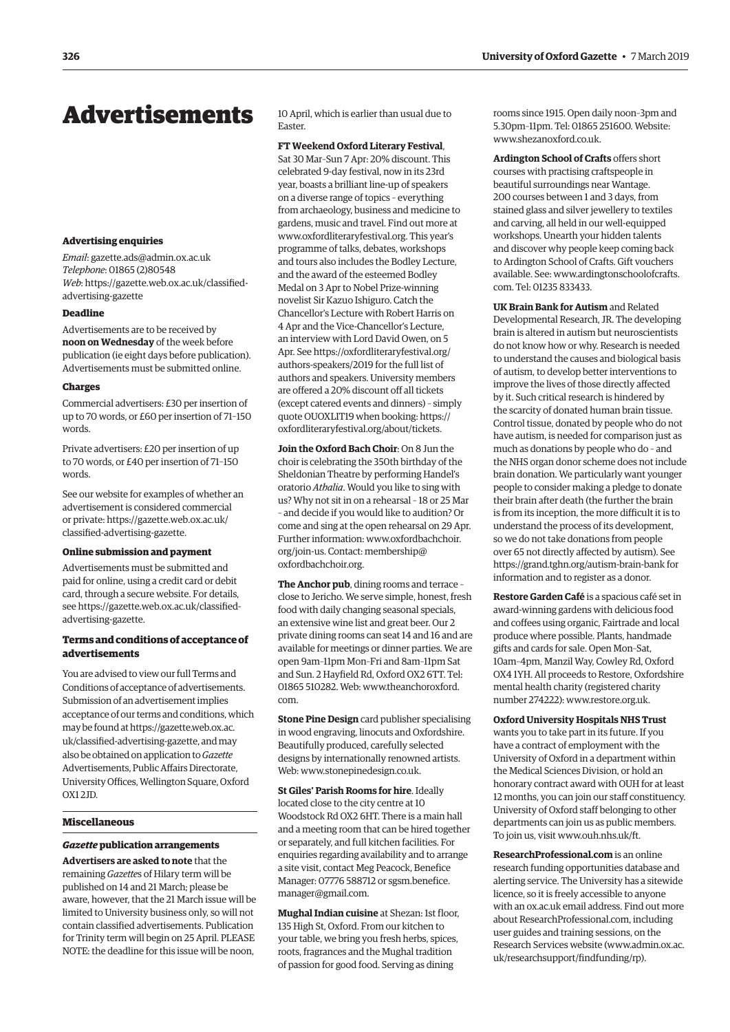# <span id="page-5-0"></span>Advertisements

#### **Advertising enquiries**

*Email*: [gazette.ads@admin.ox.ac.uk](mailto:gazette.ads@admin.ox.ac.uk) *Telephone*: 01865 (2)80548 *Web*[: https://gazette.web.ox.ac.uk/classified](https://gazette.web.ox.ac.uk/classified-advertising-gazette)advertising-gazette

# **Deadline**

Advertisements are to be received by **noon on Wednesday** of the week before publication (ie eight days before publication). Advertisements must be submitted online.

#### **Charges**

Commercial advertisers: £30 per insertion of up to 70 words, or £60 per insertion of 71–150 words.

Private advertisers: £20 per insertion of up to 70 words, or £40 per insertion of 71–150 words.

See our website for examples of whether an advertisement is considered commercial [or private: https://gazette.web.ox.ac.uk/](https://gazette.web.ox.ac.uk/classified-advertising-gazette) classified-advertising-gazette.

#### **Online submission and payment**

Advertisements must be submitted and paid for online, using a credit card or debit card, through a secure website. For details, [see https://gazette.web.ox.ac.uk/classified](https://gazette.web.ox.ac.uk/classified-advertising-gazette)advertising-gazette.

### **Terms and conditions of acceptance of advertisements**

You are advised to view our full Terms and Conditions of acceptance of advertisements. Submission of an advertisement implies acceptance of our terms and conditions, which may be found at [https://gazette.web.ox.ac.](https://gazette.web.ox.ac.uk/classified-advertising-gazette) [uk/classified-advertising-gazette,](https://gazette.web.ox.ac.uk/classified-advertising-gazette) and may also be obtained on application to *Gazette* Advertisements, Public Affairs Directorate, University Offices, Wellington Square, Oxford OX1 2JD.

#### **Miscellaneous**

#### *Gazette* **publication arrangements**

**Advertisers are asked to note** that the remaining *Gazette*s of Hilary term will be published on 14 and 21 March; please be aware, however, that the 21 March issue will be limited to University business only, so will not contain classified advertisements. Publication for Trinity term will begin on 25 April. PLEASE NOTE: the deadline for this issue will be noon,

10 April, which is earlier than usual due to Easter.

#### **FT Weekend Oxford Literary Festival**,

Sat 30 Mar–Sun 7 Apr: 20% discount. This celebrated 9-day festival, now in its 23rd year, boasts a brilliant line-up of speakers on a diverse range of topics – everything from archaeology, business and medicine to gardens, music and travel. Find out more at [www.oxfordliteraryfestival.org.](http://www.oxfordliteraryfestival.org) This year's programme of talks, debates, workshops and tours also includes the Bodley Lecture, and the award of the esteemed Bodley Medal on 3 Apr to Nobel Prize-winning novelist Sir Kazuo Ishiguro. Catch the Chancellor's Lecture with Robert Harris on 4 Apr and the Vice-Chancellor's Lecture, an interview with Lord David Owen, on 5 Apr. See [https://oxfordliteraryfestival.org/](https://oxfordliteraryfestival.org/authors-speakers/2019) [authors-speakers/2019](https://oxfordliteraryfestival.org/authors-speakers/2019) for the full list of authors and speakers. University members are offered a 20% discount off all tickets (except catered events and dinners) – simply quote OUOXLIT19 when booking: [https://](https://oxfordliteraryfestival.org/about/tickets) [oxfordliteraryfestival.org/about/tickets.](https://oxfordliteraryfestival.org/about/tickets)

**Join the Oxford Bach Choir**: On 8 Jun the choir is celebrating the 350th birthday of the Sheldonian Theatre by performing Handel's oratorio *Athalia*. Would you like to sing with us? Why not sit in on a rehearsal – 18 or 25 Mar – and decide if you would like to audition? Or come and sing at the open rehearsal on 29 Apr. Further information: [www.oxfordbachchoir.](http://www.oxfordbachchoir.org/join-us) [org/join-us.](http://www.oxfordbachchoir.org/join-us) Contact: [membership@](mailto:membership@oxfordbachchoir.org) [oxfordbachchoir.org](mailto:membership@oxfordbachchoir.org).

**The Anchor pub**, dining rooms and terrace – close to Jericho. We serve simple, honest, fresh food with daily changing seasonal specials, an extensive wine list and great beer. Our 2 private dining rooms can seat 14 and 16 and are available for meetings or dinner parties. We are open 9am–11pm Mon–Fri and 8am–11pm Sat and Sun. 2 Hayfield Rd, Oxford OX2 6TT. Tel: 01865 510282. Web: [www.theanchoroxford.](http://www.theanchoroxford.com) [com.](http://www.theanchoroxford.com)

**Stone Pine Design** card publisher specialising in wood engraving, linocuts and Oxfordshire. Beautifully produced, carefully selected designs by internationally renowned artists. Web: [www.stonepinedesign.co.uk.](http://www.stonepinedesign.co.uk)

**St Giles' Parish Rooms for hire**. Ideally located close to the city centre at 10 Woodstock Rd OX2 6HT. There is a main hall and a meeting room that can be hired together or separately, and full kitchen facilities. For enquiries regarding availability and to arrange a site visit, contact Meg Peacock, Benefice Manager: 07776 588712 or [sgsm.benefice.](mailto:sgsm.benefice.manager@gmail.com) [manager@gmail.com](mailto:sgsm.benefice.manager@gmail.com).

**Mughal Indian cuisine** at Shezan: 1st floor, 135 High St, Oxford. From our kitchen to your table, we bring you fresh herbs, spices, roots, fragrances and the Mughal tradition of passion for good food. Serving as dining

rooms since 1915. Open daily noon–3pm and 5.30pm–11pm. Tel: 01865 251600. Website: [www.shezanoxford.co.uk.](http://www.shezanoxford.co.uk)

**Ardington School of Crafts** offers short courses with practising craftspeople in beautiful surroundings near Wantage. 200 courses between 1 and 3 days, from stained glass and silver jewellery to textiles and carving, all held in our well-equipped workshops. Unearth your hidden talents and discover why people keep coming back to Ardington School of Crafts. Gift vouchers available. See: [www.ardingtonschoolofcrafts.](http://www.ardingtonschoolofcrafts.com) [com](http://www.ardingtonschoolofcrafts.com). Tel: 01235 833433.

**UK Brain Bank for Autism** and Related Developmental Research, JR. The developing brain is altered in autism but neuroscientists do not know how or why. Research is needed to understand the causes and biological basis of autism, to develop better interventions to improve the lives of those directly affected by it. Such critical research is hindered by the scarcity of donated human brain tissue. Control tissue, donated by people who do not have autism, is needed for comparison just as much as donations by people who do – and the NHS organ donor scheme does not include brain donation. We particularly want younger people to consider making a pledge to donate their brain after death (the further the brain is from its inception, the more difficult it is to understand the process of its development, so we do not take donations from people over 65 not directly affected by autism). See <https://grand.tghn.org/autism-brain-bank> for information and to register as a donor.

**Restore Garden Café** is a spacious café set in award-winning gardens with delicious food and coffees using organic, Fairtrade and local produce where possible. Plants, handmade gifts and cards for sale. Open Mon–Sat, 10am–4pm, Manzil Way, Cowley Rd, Oxford OX4 1YH. All proceeds to Restore, Oxfordshire mental health charity (registered charity number 274222): [www.restore.org.uk.](http://www.restore.org.uk)

**Oxford University Hospitals NHS Trust**  wants you to take part in its future. If you have a contract of employment with the University of Oxford in a department within the Medical Sciences Division, or hold an honorary contract award with OUH for at least 12 months, you can join our staff constituency. University of Oxford staff belonging to other departments can join us as public members. To join us, visit [www.ouh.nhs.uk/ft.](http://www.ouh.nhs.uk/ft)

**ResearchProfessional.com** is an online research funding opportunities database and alerting service. The University has a sitewide licence, so it is freely accessible to anyone with an ox.ac.uk email address. Find out more about [ResearchProfessional.com](http://ResearchProfessional.com), including user guides and training sessions, on the Research Services website [\(www.admin.ox.ac.](http://www.admin.ox.ac.uk/researchsupport/findfunding/rp) [uk/researchsupport/findfunding/rp\).](http://www.admin.ox.ac.uk/researchsupport/findfunding/rp)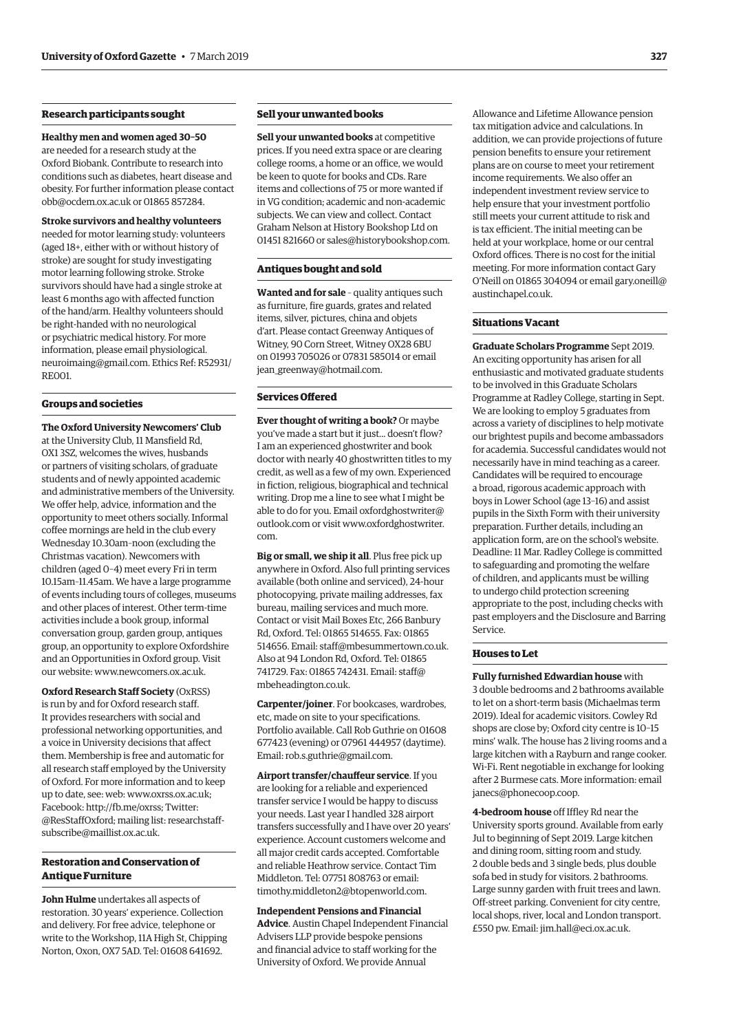# **Research participants sought**

#### **Healthy men and women aged 30–50**

are needed for a research study at the Oxford Biobank. Contribute to research into conditions such as diabetes, heart disease and obesity. For further information please contact [obb@ocdem.ox.ac.uk](mailto:obb@ocdem.ox.ac.uk) or 01865 857284.

#### **Stroke survivors and healthy volunteers**

needed for motor learning study: volunteers (aged 18+, either with or without history of stroke) are sought for study investigating motor learning following stroke. Stroke survivors should have had a single stroke at least 6 months ago with affected function of the hand/arm. Healthy volunteers should be right-handed with no neurological or psychiatric medical history. For more information, please email [physiological.](mailto:physiological.neuroimaing@gmail.com) [neuroimaing@gmail.com.](mailto:physiological.neuroimaing@gmail.com) Ethics Ref: R52931/ RE001.

#### **Groups and societies**

**The Oxford University Newcomers' Club** at the University Club, 11 Mansfield Rd, OX1 3SZ, welcomes the wives, husbands or partners of visiting scholars, of graduate students and of newly appointed academic and administrative members of the University. We offer help, advice, information and the opportunity to meet others socially. Informal coffee mornings are held in the club every Wednesday 10.30am–noon (excluding the Christmas vacation). Newcomers with children (aged 0–4) meet every Fri in term 10.15am–11.45am. We have a large programme of events including tours of colleges, museums and other places of interest. Other term-time activities include a book group, informal conversation group, garden group, antiques group, an opportunity to explore Oxfordshire and an Opportunities in Oxford group. Visit our website: [www.newcomers.ox.ac.uk](http://www.newcomers.ox.ac.uk).

**Oxford Research Staff Society** (OxRSS) is run by and for Oxford research staff. It provides researchers with social and professional networking opportunities, and a voice in University decisions that affect them. Membership is free and automatic for all research staff employed by the University of Oxford. For more information and to keep up to date, see: web: [www.oxrss.ox.ac.uk;](http://www.oxrss.ox.ac.uk) Facebook: [http://fb.me/oxrss;](http://fb.me/oxrss) Twitter: @ResStaffOxford; mailing list: [researchstaff](mailto:researchstaff-subscribe@maillist.ox.ac.uk)[subscribe@maillist.ox.ac.uk.](mailto:researchstaff-subscribe@maillist.ox.ac.uk)

#### **Restoration and Conservation of Antique Furniture**

**John Hulme** undertakes all aspects of restoration. 30 years' experience. Collection and delivery. For free advice, telephone or write to the Workshop, 11A High St, Chipping Norton, Oxon, OX7 5AD. Tel: 01608 641692.

# **Sell your unwanted books**

**Sell your unwanted books** at competitive prices. If you need extra space or are clearing college rooms, a home or an office, we would be keen to quote for books and CDs. Rare items and collections of 75 or more wanted if in VG condition; academic and non-academic subjects. We can view and collect. Contact Graham Nelson at History Bookshop Ltd on 01451 821660 or [sales@historybookshop.com](mailto:sales@historybookshop.com).

# **Antiques bought and sold**

**Wanted and for sale** – quality antiques such as furniture, fire guards, grates and related items, silver, pictures, china and objets d'art. Please contact Greenway Antiques of Witney, 90 Corn Street, Witney OX28 6BU on 01993 705026 or 07831 585014 or email [jean\\_greenway@hotmail.com](mailto:jean_greenway@hotmail.com).

# **Services Offered**

**Ever thought of writing a book?** Or maybe you've made a start but it just... doesn't flow? I am an experienced ghostwriter and book doctor with nearly 40 ghostwritten titles to my credit, as well as a few of my own. Experienced in fiction, religious, biographical and technical writing. Drop me a line to see what I might be able to do for you. Email [oxfordghostwriter@](mailto:oxfordghostwriter@outlook.com) [outlook.com](mailto:oxfordghostwriter@outlook.com) or visit [www.oxfordghostwriter.](http://www.oxfordghostwriter.com) [com.](http://www.oxfordghostwriter.com)

**Big or small, we ship it all**. Plus free pick up anywhere in Oxford. Also full printing services available (both online and serviced), 24-hour photocopying, private mailing addresses, fax bureau, mailing services and much more. Contact or visit Mail Boxes Etc, 266 Banbury Rd, Oxford. Tel: 01865 514655. Fax: 01865 514656. Email: [staff@mbesummertown.co.uk](mailto:staff@mbesummertown.co.uk). Also at 94 London Rd, Oxford. Tel: 01865 741729. Fax: 01865 742431. Email: [staff@](mailto:staff@mbeheadington.co.uk) [mbeheadington.co.uk](mailto:staff@mbeheadington.co.uk).

**Carpenter/joiner**. For bookcases, wardrobes, etc, made on site to your specifications. Portfolio available. Call Rob Guthrie on 01608 677423 (evening) or 07961 444957 (daytime). Email: [rob.s.guthrie@gmail.com.](mailto:rob.s.guthrie@gmail.com)

**Airport transfer/chauffeur service**. If you are looking for a reliable and experienced transfer service I would be happy to discuss your needs. Last year I handled 328 airport transfers successfully and I have over 20 years' experience. Account customers welcome and all major credit cards accepted. Comfortable and reliable Heathrow service. Contact Tim Middleton. Tel: 07751 808763 or email: [timothy.middleton2@btopenworld.com.](mailto:timothy.middleton2@btopenworld.com)

#### **Independent Pensions and Financial**

**Advice**. Austin Chapel Independent Financial Advisers LLP provide bespoke pensions and financial advice to staff working for the University of Oxford. We provide Annual

Allowance and Lifetime Allowance pension tax mitigation advice and calculations. In addition, we can provide projections of future pension benefits to ensure your retirement plans are on course to meet your retirement income requirements. We also offer an independent investment review service to help ensure that your investment portfolio still meets your current attitude to risk and is tax efficient. The initial meeting can be held at your workplace, home or our central Oxford offices. There is no cost for the initial meeting. For more information contact Gary O'Neill on 01865 304094 or email [gary.oneill@](mailto:gary.oneill@austinchapel.co.uk) [austinchapel.co.uk](mailto:gary.oneill@austinchapel.co.uk).

#### **Situations Vacant**

**Graduate Scholars Programme** Sept 2019. An exciting opportunity has arisen for all enthusiastic and motivated graduate students to be involved in this Graduate Scholars Programme at Radley College, starting in Sept. We are looking to employ 5 graduates from across a variety of disciplines to help motivate our brightest pupils and become ambassadors for academia. Successful candidates would not necessarily have in mind teaching as a career. Candidates will be required to encourage a broad, rigorous academic approach with boys in Lower School (age 13–16) and assist pupils in the Sixth Form with their university preparation. Further details, including an application form, are on the school's website. Deadline: 11 Mar. Radley College is committed to safeguarding and promoting the welfare of children, and applicants must be willing to undergo child protection screening appropriate to the post, including checks with past employers and the Disclosure and Barring Service.

#### **Houses to Let**

**Fully furnished Edwardian house** with 3 double bedrooms and 2 bathrooms available to let on a short-term basis (Michaelmas term 2019). Ideal for academic visitors. Cowley Rd shops are close by; Oxford city centre is 10–15 mins' walk. The house has 2 living rooms and a large kitchen with a Rayburn and range cooker. Wi-Fi. Rent negotiable in exchange for looking after 2 Burmese cats. More information: email [janecs@phonecoop.coop](mailto:janecs@phonecoop.coop).

**4-bedroom house** off Iffley Rd near the University sports ground. Available from early Jul to beginning of Sept 2019. Large kitchen and dining room, sitting room and study. 2 double beds and 3 single beds, plus double sofa bed in study for visitors. 2 bathrooms. Large sunny garden with fruit trees and lawn. Off-street parking. Convenient for city centre, local shops, river, local and London transport. £550 pw. Email: [jim.hall@eci.ox.ac.uk.](mailto:jim.hall@eci.ox.ac.uk)